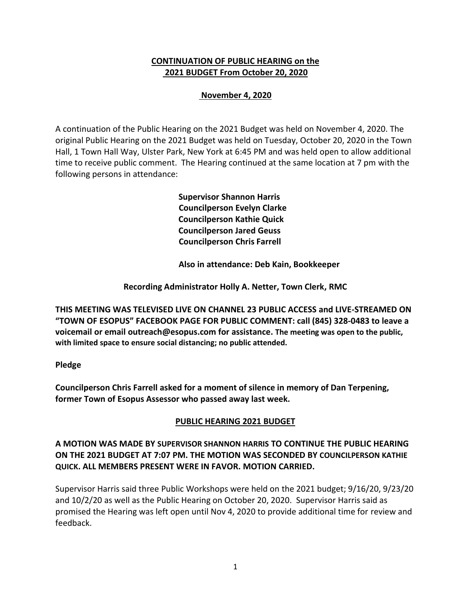## **CONTINUATION OF PUBLIC HEARING on the 2021 BUDGET From October 20, 2020**

# **November 4, 2020**

A continuation of the Public Hearing on the 2021 Budget was held on November 4, 2020. The original Public Hearing on the 2021 Budget was held on Tuesday, October 20, 2020 in the Town Hall, 1 Town Hall Way, Ulster Park, New York at 6:45 PM and was held open to allow additional time to receive public comment. The Hearing continued at the same location at 7 pm with the following persons in attendance:

> **Supervisor Shannon Harris Councilperson Evelyn Clarke Councilperson Kathie Quick Councilperson Jared Geuss Councilperson Chris Farrell**

 **Also in attendance: Deb Kain, Bookkeeper**

**Recording Administrator Holly A. Netter, Town Clerk, RMC**

**THIS MEETING WAS TELEVISED LIVE ON CHANNEL 23 PUBLIC ACCESS and LIVE-STREAMED ON "TOWN OF ESOPUS" FACEBOOK PAGE FOR PUBLIC COMMENT: call (845) 328-0483 to leave a voicemail or email outreach@esopus.com for assistance. The meeting was open to the public, with limited space to ensure social distancing; no public attended.** 

### **Pledge**

**Councilperson Chris Farrell asked for a moment of silence in memory of Dan Terpening, former Town of Esopus Assessor who passed away last week.** 

### **PUBLIC HEARING 2021 BUDGET**

### **A MOTION WAS MADE BY SUPERVISOR SHANNON HARRIS TO CONTINUE THE PUBLIC HEARING ON THE 2021 BUDGET AT 7:07 PM. THE MOTION WAS SECONDED BY COUNCILPERSON KATHIE QUICK. ALL MEMBERS PRESENT WERE IN FAVOR. MOTION CARRIED.**

Supervisor Harris said three Public Workshops were held on the 2021 budget; 9/16/20, 9/23/20 and 10/2/20 as well as the Public Hearing on October 20, 2020. Supervisor Harris said as promised the Hearing was left open until Nov 4, 2020 to provide additional time for review and feedback.